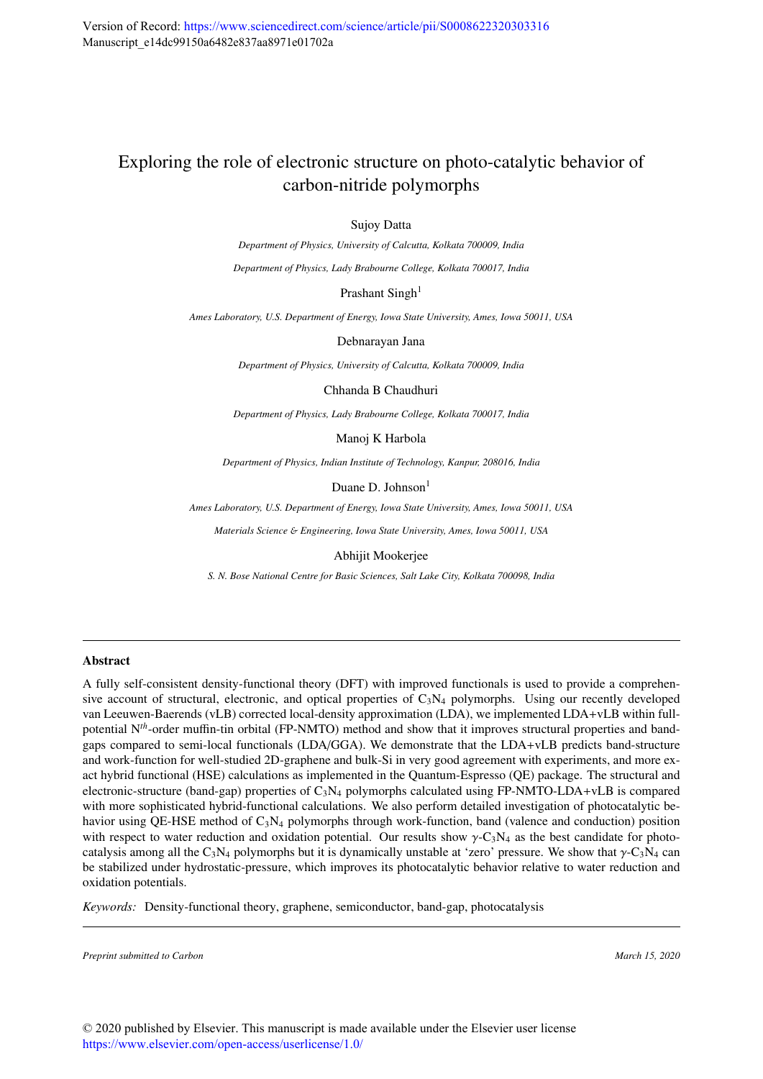# Exploring the role of electronic structure on photo-catalytic behavior of carbon-nitride polymorphs

Sujoy Datta

*Department of Physics, University of Calcutta, Kolkata 700009, India*

*Department of Physics, Lady Brabourne College, Kolkata 700017, India*

Prashant Singh<sup>1</sup>

*Ames Laboratory, U.S. Department of Energy, Iowa State University, Ames, Iowa 50011, USA*

Debnarayan Jana

*Department of Physics, University of Calcutta, Kolkata 700009, India*

Chhanda B Chaudhuri

*Department of Physics, Lady Brabourne College, Kolkata 700017, India*

Manoj K Harbola

*Department of Physics, Indian Institute of Technology, Kanpur, 208016, India*

Duane D. Johnson $<sup>1</sup>$ </sup>

*Ames Laboratory, U.S. Department of Energy, Iowa State University, Ames, Iowa 50011, USA*

*Materials Science* & *Engineering, Iowa State University, Ames, Iowa 50011, USA*

Abhijit Mookerjee

*S. N. Bose National Centre for Basic Sciences, Salt Lake City, Kolkata 700098, India*

#### Abstract

A fully self-consistent density-functional theory (DFT) with improved functionals is used to provide a comprehensive account of structural, electronic, and optical properties of  $C_3N_4$  polymorphs. Using our recently developed van Leeuwen-Baerends (vLB) corrected local-density approximation (LDA), we implemented LDA+vLB within fullpotential N*th*-order muffin-tin orbital (FP-NMTO) method and show that it improves structural properties and bandgaps compared to semi-local functionals (LDA/GGA). We demonstrate that the LDA+vLB predicts band-structure and work-function for well-studied 2D-graphene and bulk-Si in very good agreement with experiments, and more exact hybrid functional (HSE) calculations as implemented in the Quantum-Espresso (QE) package. The structural and electronic-structure (band-gap) properties of  $C_3N_4$  polymorphs calculated using FP-NMTO-LDA+vLB is compared with more sophisticated hybrid-functional calculations. We also perform detailed investigation of photocatalytic behavior using QE-HSE method of  $C_3N_4$  polymorphs through work-function, band (valence and conduction) position with respect to water reduction and oxidation potential. Our results show  $\gamma$ -C<sub>3</sub>N<sub>4</sub> as the best candidate for photocatalysis among all the C<sub>3</sub>N<sub>4</sub> polymorphs but it is dynamically unstable at 'zero' pressure. We show that  $\gamma$ -C<sub>3</sub>N<sub>4</sub> can be stabilized under hydrostatic-pressure, which improves its photocatalytic behavior relative to water reduction and oxidation potentials.

*Keywords:* Density-functional theory, graphene, semiconductor, band-gap, photocatalysis

*Preprint submitted to Carbon March 15, 2020*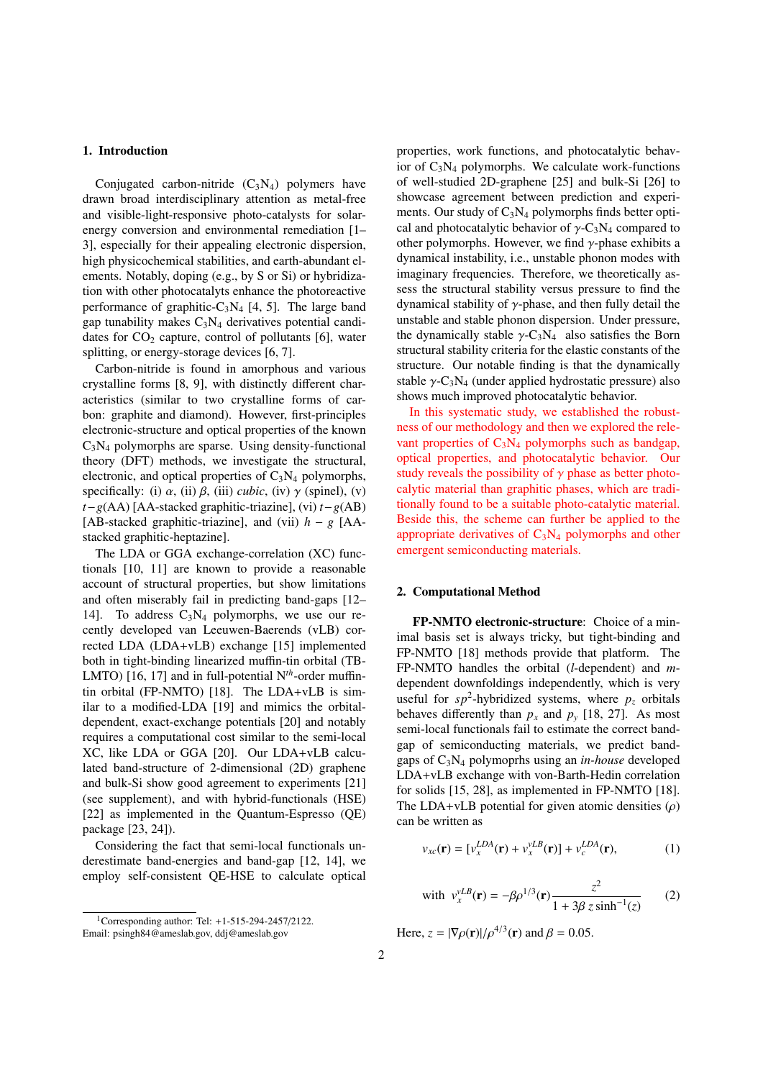# 1. Introduction

Conjugated carbon-nitride  $(C_3N_4)$  polymers have drawn broad interdisciplinary attention as metal-free and visible-light-responsive photo-catalysts for solarenergy conversion and environmental remediation [1– 3], especially for their appealing electronic dispersion, high physicochemical stabilities, and earth-abundant elements. Notably, doping (e.g., by S or Si) or hybridization with other photocatalyts enhance the photoreactive performance of graphitic- $C_3N_4$  [4, 5]. The large band gap tunability makes  $C_3N_4$  derivatives potential candidates for  $CO<sub>2</sub>$  capture, control of pollutants [6], water splitting, or energy-storage devices [6, 7].

Carbon-nitride is found in amorphous and various crystalline forms [8, 9], with distinctly different characteristics (similar to two crystalline forms of carbon: graphite and diamond). However, first-principles electronic-structure and optical properties of the known  $C_3N_4$  polymorphs are sparse. Using density-functional theory (DFT) methods, we investigate the structural, electronic, and optical properties of  $C_3N_4$  polymorphs, specifically: (i)  $\alpha$ , (ii)  $\beta$ , (iii) *cubic*, (iv)  $\gamma$  (spinel), (v) *t*−*g*(AA) [AA-stacked graphitic-triazine], (vi) *t*−*g*(AB) [AB-stacked graphitic-triazine], and (vii) *h* − *g* [AAstacked graphitic-heptazine].

The LDA or GGA exchange-correlation (XC) functionals [10, 11] are known to provide a reasonable account of structural properties, but show limitations and often miserably fail in predicting band-gaps [12– 14]. To address  $C_3N_4$  polymorphs, we use our recently developed van Leeuwen-Baerends (vLB) corrected LDA (LDA+vLB) exchange [15] implemented both in tight-binding linearized muffin-tin orbital (TB-LMTO) [16, 17] and in full-potential N*th*-order muffintin orbital (FP-NMTO) [18]. The LDA+vLB is similar to a modified-LDA [19] and mimics the orbitaldependent, exact-exchange potentials [20] and notably requires a computational cost similar to the semi-local XC, like LDA or GGA [20]. Our LDA+vLB calculated band-structure of 2-dimensional (2D) graphene and bulk-Si show good agreement to experiments [21] (see supplement), and with hybrid-functionals (HSE) [22] as implemented in the Quantum-Espresso (QE) package [23, 24]).

Considering the fact that semi-local functionals underestimate band-energies and band-gap [12, 14], we employ self-consistent QE-HSE to calculate optical properties, work functions, and photocatalytic behavior of  $C_3N_4$  polymorphs. We calculate work-functions of well-studied 2D-graphene [25] and bulk-Si [26] to showcase agreement between prediction and experiments. Our study of  $C_3N_4$  polymorphs finds better optical and photocatalytic behavior of  $\gamma$ -C<sub>3</sub>N<sub>4</sub> compared to other polymorphs. However, we find  $\gamma$ -phase exhibits a dynamical instability, i.e., unstable phonon modes with imaginary frequencies. Therefore, we theoretically assess the structural stability versus pressure to find the dynamical stability of  $\gamma$ -phase, and then fully detail the unstable and stable phonon dispersion. Under pressure, the dynamically stable  $\gamma$ -C<sub>3</sub>N<sub>4</sub> also satisfies the Born structural stability criteria for the elastic constants of the structure. Our notable finding is that the dynamically stable  $\gamma$ -C<sub>3</sub>N<sub>4</sub> (under applied hydrostatic pressure) also shows much improved photocatalytic behavior.

In this systematic study, we established the robustness of our methodology and then we explored the relevant properties of  $C_3N_4$  polymorphs such as bandgap, optical properties, and photocatalytic behavior. Our study reveals the possibility of  $\gamma$  phase as better photocalytic material than graphitic phases, which are traditionally found to be a suitable photo-catalytic material. Beside this, the scheme can further be applied to the appropriate derivatives of  $C_3N_4$  polymorphs and other emergent semiconducting materials.

#### 2. Computational Method

FP-NMTO electronic-structure: Choice of a minimal basis set is always tricky, but tight-binding and FP-NMTO [18] methods provide that platform. The FP-NMTO handles the orbital (*l*-dependent) and *m*dependent downfoldings independently, which is very useful for  $sp^2$ -hybridized systems, where  $p_z$  orbitals behaves differently than  $p_x$  and  $p_y$  [18, 27]. As most semi-local functionals fail to estimate the correct bandgap of semiconducting materials, we predict bandgaps of C3N<sup>4</sup> polymoprhs using an *in-house* developed LDA+vLB exchange with von-Barth-Hedin correlation for solids [15, 28], as implemented in FP-NMTO [18]. The LDA+vLB potential for given atomic densities  $(\rho)$ can be written as

$$
v_{xc}(\mathbf{r}) = [v_x^{LDA}(\mathbf{r}) + v_x^{vLB}(\mathbf{r})] + v_c^{LDA}(\mathbf{r}), \qquad (1)
$$

with 
$$
v_x^{vLB}(\mathbf{r}) = -\beta \rho^{1/3}(\mathbf{r}) \frac{z^2}{1 + 3\beta z \sinh^{-1}(z)}
$$
 (2)

Here,  $z = |\nabla \rho(\mathbf{r})| / \rho^{4/3}(\mathbf{r})$  and  $\beta = 0.05$ .

<sup>1</sup>Corresponding author: Tel: +1-515-294-2457/2122. Email: psingh84@ameslab.gov, ddj@ameslab.gov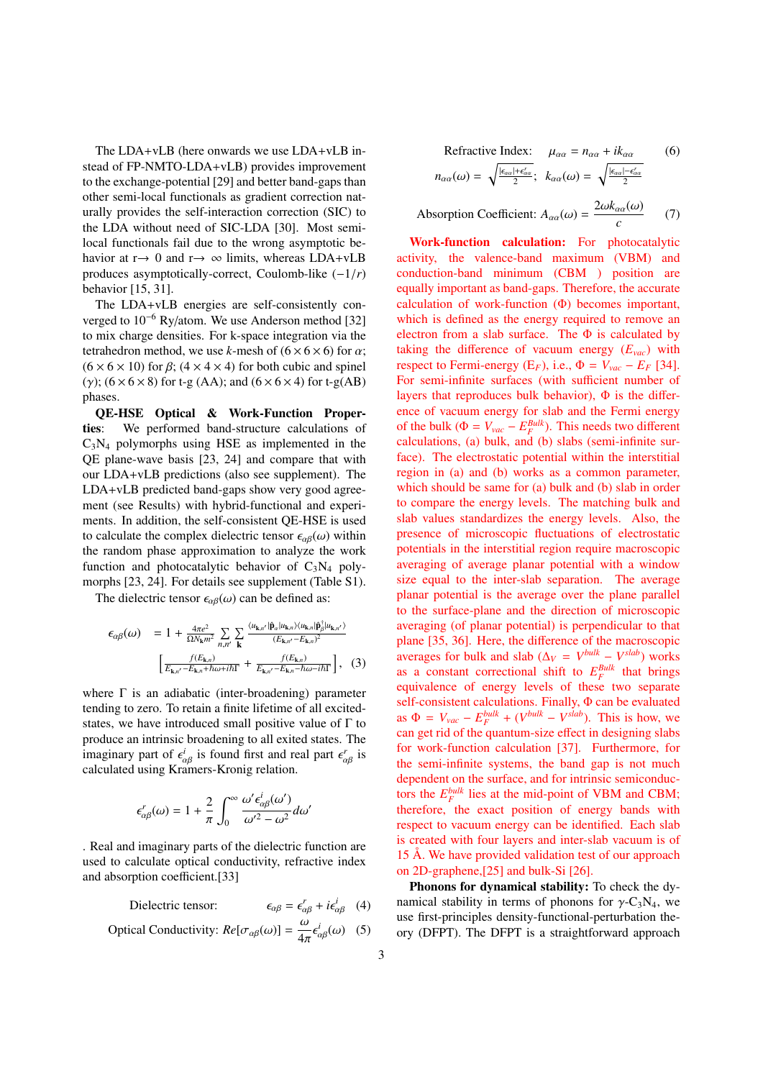The LDA+vLB (here onwards we use LDA+vLB instead of FP-NMTO-LDA+vLB) provides improvement to the exchange-potential [29] and better band-gaps than other semi-local functionals as gradient correction naturally provides the self-interaction correction (SIC) to the LDA without need of SIC-LDA [30]. Most semilocal functionals fail due to the wrong asymptotic behavior at  $r \rightarrow 0$  and  $r \rightarrow \infty$  limits, whereas LDA+vLB produces asymptotically-correct, Coulomb-like (−1/*r*) behavior [15, 31].

The LDA+vLB energies are self-consistently converged to 10−<sup>6</sup> Ry/atom. We use Anderson method [32] to mix charge densities. For k-space integration via the tetrahedron method, we use *k*-mesh of  $(6 \times 6 \times 6)$  for  $\alpha$ ;  $(6 \times 6 \times 10)$  for  $\beta$ ;  $(4 \times 4 \times 4)$  for both cubic and spinel (γ);  $(6 \times 6 \times 8)$  for t-g (AA); and  $(6 \times 6 \times 4)$  for t-g(AB) phases.

QE-HSE Optical & Work-Function Properties: We performed band-structure calculations of  $C_3N_4$  polymorphs using HSE as implemented in the QE plane-wave basis [23, 24] and compare that with our LDA+vLB predictions (also see supplement). The LDA+vLB predicted band-gaps show very good agreement (see Results) with hybrid-functional and experiments. In addition, the self-consistent QE-HSE is used to calculate the complex dielectric tensor  $\epsilon_{\alpha\beta}(\omega)$  within the random phase approximation to analyze the work function and photocatalytic behavior of  $C_3N_4$  polymorphs [23, 24]. For details see supplement (Table S1).

The dielectric tensor  $\epsilon_{\alpha\beta}(\omega)$  can be defined as:

$$
\epsilon_{\alpha\beta}(\omega) = 1 + \frac{4\pi e^2}{\Omega N_{\mathbf{k}} m^2} \sum_{n,n'} \sum_{\mathbf{k}} \frac{\langle u_{\mathbf{k},n'} | \hat{\mathbf{p}}_{\alpha} | u_{\mathbf{k},n} \rangle \langle u_{\mathbf{k},n} | \hat{\mathbf{p}}_{\beta}^{\dagger} | u_{\mathbf{k},n'} \rangle}{(E_{\mathbf{k},n'} - E_{\mathbf{k},n})^2}
$$
\n
$$
\left[ \frac{f(E_{\mathbf{k},n})}{E_{\mathbf{k},n'} - E_{\mathbf{k},n} + \hbar \omega + i\hbar \Gamma} + \frac{f(E_{\mathbf{k},n})}{E_{\mathbf{k},n'} - E_{\mathbf{k},n} - \hbar \omega - i\hbar \Gamma} \right], \quad (3)
$$

where  $\Gamma$  is an adiabatic (inter-broadening) parameter tending to zero. To retain a finite lifetime of all excitedstates, we have introduced small positive value of  $\Gamma$  to produce an intrinsic broadening to all exited states. The imaginary part of  $\epsilon_{\alpha\beta}^{i}$  is found first and real part  $\epsilon_{\alpha\beta}^{r}$  is calculated using Kramers-Kronig relation.

$$
\epsilon^{r}_{\alpha\beta}(\omega)=1+\frac{2}{\pi}\int_{0}^{\infty}\frac{\omega^{\prime}\epsilon^{i}_{\alpha\beta}(\omega^{\prime})}{\omega^{\prime2}-\omega^{2}}d\omega^{\prime}
$$

. Real and imaginary parts of the dielectric function are used to calculate optical conductivity, refractive index and absorption coefficient.[33]

> Dielectric tensor:  $i_{\alpha\beta}^r + i\epsilon_{\alpha\beta}^i$  (4)

Optical Conductivity: 
$$
Re[\sigma_{\alpha\beta}(\omega)] = \frac{\omega}{4\pi} \epsilon_{\alpha\beta}^{i}(\omega)
$$
 (5)

Refractive Index: 
$$
\mu_{\alpha\alpha} = n_{\alpha\alpha} + ik_{\alpha\alpha}
$$
 (6)  

$$
n_{\alpha\alpha}(\omega) = \sqrt{\frac{|\epsilon_{\alpha\alpha}| + \epsilon_{\alpha\alpha}'}{2}}; \quad k_{\alpha\alpha}(\omega) = \sqrt{\frac{|\epsilon_{\alpha\alpha}| - \epsilon_{\alpha\alpha}'}{2}}
$$

Absorption Coefficient:  $A_{\alpha\alpha}(\omega) = \frac{2\omega k_{\alpha\alpha}(\omega)}{2\omega_{\alpha\alpha}(\omega)}$ *c* (7)

Work-function calculation: For photocatalytic activity, the valence-band maximum (VBM) and conduction-band minimum (CBM ) position are equally important as band-gaps. Therefore, the accurate calculation of work-function (Φ) becomes important, which is defined as the energy required to remove an electron from a slab surface. The  $\Phi$  is calculated by taking the difference of vacuum energy (*Evac*) with respect to Fermi-energy ( $E_F$ ), i.e.,  $\Phi = V_{vac} - E_F$  [34]. For semi-infinite surfaces (with sufficient number of layers that reproduces bulk behavior),  $\Phi$  is the difference of vacuum energy for slab and the Fermi energy of the bulk ( $\Phi = V_{vac} - E_F^{Bulk}$ ). This needs two different calculations, (a) bulk, and (b) slabs (semi-infinite surface). The electrostatic potential within the interstitial region in (a) and (b) works as a common parameter, which should be same for (a) bulk and (b) slab in order to compare the energy levels. The matching bulk and slab values standardizes the energy levels. Also, the presence of microscopic fluctuations of electrostatic potentials in the interstitial region require macroscopic averaging of average planar potential with a window size equal to the inter-slab separation. The average planar potential is the average over the plane parallel to the surface-plane and the direction of microscopic averaging (of planar potential) is perpendicular to that plane [35, 36]. Here, the difference of the macroscopic averages for bulk and slab ( $\Delta_V = V^{bulk} - V^{slab}$ ) works as a constant correctional shift to  $E_F^{Bulk}$  that brings equivalence of energy levels of these two separate self-consistent calculations. Finally, Φ can be evaluated as  $\Phi = V_{vac} - E_F^{bulk} + (V^{bulk} - V^{slab})$ . This is how, we can get rid of the quantum-size effect in designing slabs for work-function calculation [37]. Furthermore, for the semi-infinite systems, the band gap is not much dependent on the surface, and for intrinsic semiconductors the  $E_F^{bulk}$  lies at the mid-point of VBM and CBM; therefore, the exact position of energy bands with respect to vacuum energy can be identified. Each slab is created with four layers and inter-slab vacuum is of 15 Å. We have provided validation test of our approach on 2D-graphene,[25] and bulk-Si [26].

Phonons for dynamical stability: To check the dynamical stability in terms of phonons for  $\gamma$ -C<sub>3</sub>N<sub>4</sub>, we use first-principles density-functional-perturbation theory (DFPT). The DFPT is a straightforward approach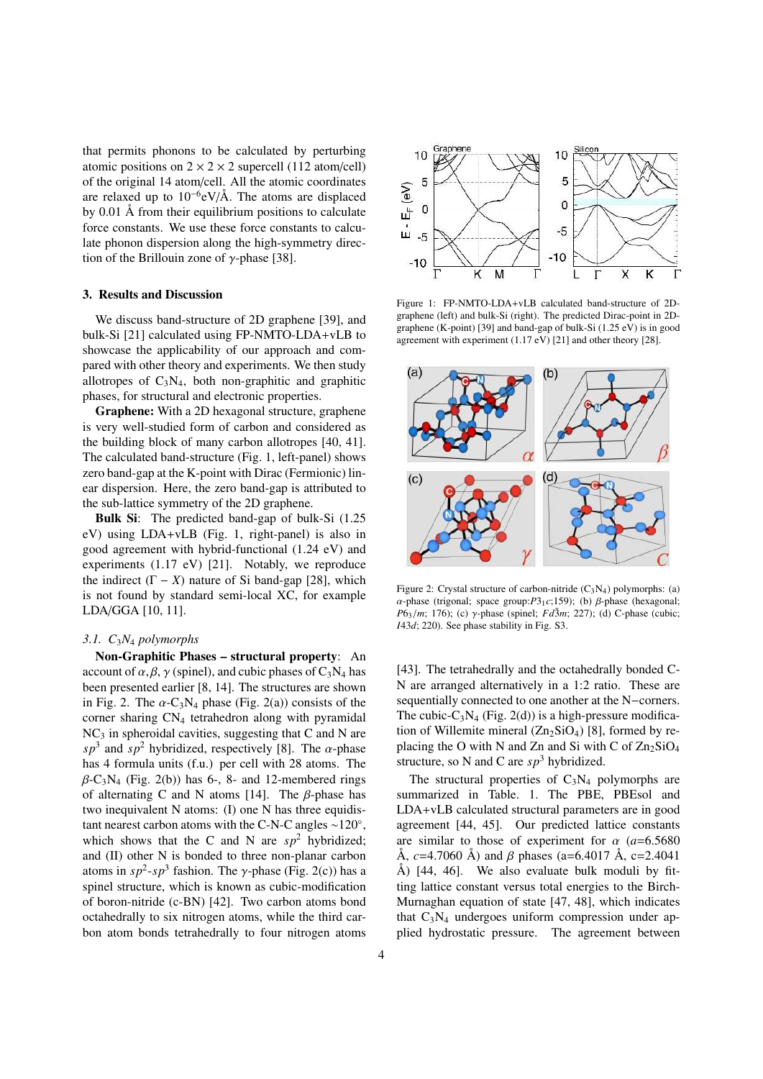that permits phonons to be calculated by perturbing atomic positions on  $2 \times 2 \times 2$  supercell (112 atom/cell) of the original 14 atom/cell. All the atomic coordinates are relaxed up to  $10^{-6}$ eV/Å. The atoms are displaced by 0.01 Å from their equilibrium positions to calculate force constants. We use these force constants to calculate phonon dispersion along the high-symmetry direction of the Brillouin zone of  $\gamma$ -phase [38].

## 3. Results and Discussion

We discuss band-structure of 2D graphene [39], and bulk-Si [21] calculated using FP-NMTO-LDA+vLB to showcase the applicability of our approach and compared with other theory and experiments. We then study allotropes of  $C_3N_4$ , both non-graphitic and graphitic phases, for structural and electronic properties.

Graphene: With a 2D hexagonal structure, graphene is very well-studied form of carbon and considered as the building block of many carbon allotropes [40, 41]. The calculated band-structure (Fig. 1, left-panel) shows zero band-gap at the K-point with Dirac (Fermionic) linear dispersion. Here, the zero band-gap is attributed to the sub-lattice symmetry of the 2D graphene.

Bulk Si: The predicted band-gap of bulk-Si (1.25 eV) using LDA+vLB (Fig. 1, right-panel) is also in good agreement with hybrid-functional (1.24 eV) and experiments (1.17 eV) [21]. Notably, we reproduce the indirect  $(Γ – X)$  nature of Si band-gap [28], which is not found by standard semi-local XC, for example LDA/GGA [10, 11].

## *3.1. C*3*N*<sup>4</sup> *polymorphs*

Non-Graphitic Phases – structural property: An account of  $\alpha$ ,  $\beta$ ,  $\gamma$  (spinel), and cubic phases of C<sub>3</sub>N<sub>4</sub> has been presented earlier [8, 14]. The structures are shown in Fig. 2. The  $\alpha$ -C<sub>3</sub>N<sub>4</sub> phase (Fig. 2(a)) consists of the corner sharing  $CN<sub>4</sub>$  tetrahedron along with pyramidal  $NC<sub>3</sub>$  in spheroidal cavities, suggesting that C and N are  $s p<sup>3</sup>$  and  $s p<sup>2</sup>$  hybridized, respectively [8]. The  $\alpha$ -phase has 4 formula units (f.u.) per cell with 28 atoms. The  $\beta$ -C<sub>3</sub>N<sub>4</sub> (Fig. 2(b)) has 6-, 8- and 12-membered rings of alternating C and N atoms [14]. The β-phase has two inequivalent N atoms: (I) one N has three equidistant nearest carbon atoms with the C-N-C angles  $\sim$ 120°, which shows that the C and N are  $sp^2$  hybridized; and (II) other N is bonded to three non-planar carbon atoms in  $sp^2$ - $sp^3$  fashion. The  $\gamma$ -phase (Fig. 2(c)) has a spinel structure, which is known as cubic-modification of boron-nitride (c-BN) [42]. Two carbon atoms bond octahedrally to six nitrogen atoms, while the third carbon atom bonds tetrahedrally to four nitrogen atoms



Figure 1: FP-NMTO-LDA+vLB calculated band-structure of 2Dgraphene (left) and bulk-Si (right). The predicted Dirac-point in 2Dgraphene (K-point) [39] and band-gap of bulk-Si (1.25 eV) is in good agreement with experiment (1.17 eV) [21] and other theory [28].



Figure 2: Crystal structure of carbon-nitride  $(C_3N_4)$  polymorphs: (a) α-phase (trigonal; space group: $P3_1c$ ;159); (b) β-phase (hexagonal; *P*6<sub>3</sub>/*m*; 176); (c)  $\gamma$ -phase (spinel; *Fd*3 $m$ ; 227); (d) C-phase (cubic; *I*43*d*; 220). See phase stability in Fig. S3.

[43]. The tetrahedrally and the octahedrally bonded C-N are arranged alternatively in a 1:2 ratio. These are sequentially connected to one another at the N−corners. The cubic- $C_3N_4$  (Fig. 2(d)) is a high-pressure modification of Willemite mineral  $(Zn_2SiO_4)$  [8], formed by replacing the O with N and Zn and Si with C of  $\text{Zn}_2\text{SiO}_4$ structure, so N and C are  $sp^3$  hybridized.

The structural properties of  $C_3N_4$  polymorphs are summarized in Table. 1. The PBE, PBEsol and LDA+vLB calculated structural parameters are in good agreement [44, 45]. Our predicted lattice constants are similar to those of experiment for  $\alpha$  ( $a=6.5680$ ) Å, *c*=4.7060 Å) and β phases (a=6.4017 Å, c=2.4041 Å) [44, 46]. We also evaluate bulk moduli by fitting lattice constant versus total energies to the Birch-Murnaghan equation of state [47, 48], which indicates that  $C_3N_4$  undergoes uniform compression under applied hydrostatic pressure. The agreement between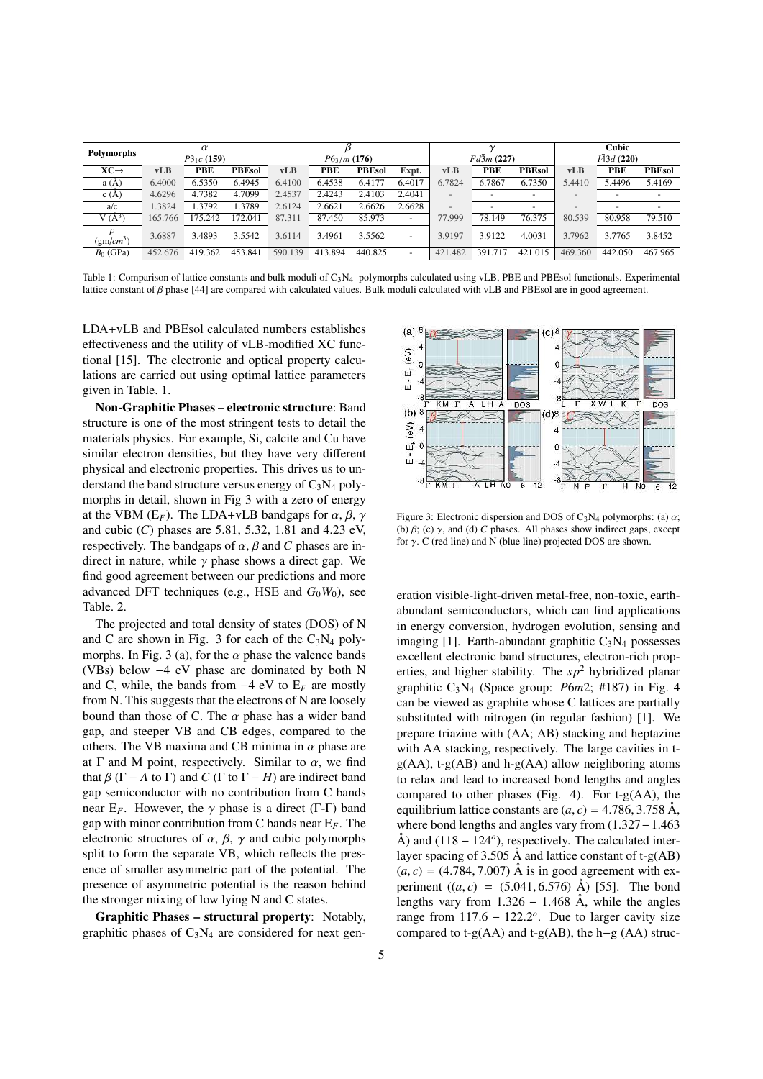| Polymorphs       | $\alpha$     |         |               |               |            |               |                          |                   |         |               | Cubic             |            |               |
|------------------|--------------|---------|---------------|---------------|------------|---------------|--------------------------|-------------------|---------|---------------|-------------------|------------|---------------|
|                  | $P3_1c(159)$ |         |               | $P6_3/m(176)$ |            |               |                          | $Fd\bar{3}m(227)$ |         |               | $I\bar{4}3d(220)$ |            |               |
| $XC \rightarrow$ | <b>vLB</b>   | PBE     | <b>PBEsol</b> | vLB           | <b>PBE</b> | <b>PBEsol</b> | Expt.                    | vLB               | PBE     | <b>PBEsol</b> | vLB               | <b>PBE</b> | <b>PBEsol</b> |
| a(A)             | 6.4000       | 6.5350  | 6.4945        | 6.4100        | 6.4538     | 6.4177        | 6.4017                   | 6.7824            | 6.7867  | 6.7350        | 5.4410            | 5.4496     | 5.4169        |
| c(A)             | 4.6296       | 4.7382  | 4.7099        | 2.4537        | 2.4243     | 2.4103        | 2.4041                   |                   |         |               |                   |            |               |
| a/c              | 1.3824       | 1.3792  | 1.3789        | 2.6124        | 2.6621     | 2.6626        | 2.6628                   |                   |         |               |                   |            |               |
| $V(\AA^3)$       | 165.766      | 75.242  | 172.041       | 87.311        | 87.450     | 85.973        |                          | 77.999            | 78.149  | 76.375        | 80.539            | 80.958     | 79.510        |
| $(gm/cm^3)$      | 3.6887       | 3.4893  | 3.5542        | 3.6114        | 3.4961     | 3.5562        | $\overline{\phantom{0}}$ | 3.9197            | 3.9122  | 4.0031        | 3.7962            | 3.7765     | 3.8452        |
| $B_0$ (GPa)      | 452.676      | 419.362 | 453.841       | 590.139       | 413.894    | 440.825       |                          | 421.482           | 391.717 | 421.015       | 469.360           | 442.050    | 467.965       |

Table 1: Comparison of lattice constants and bulk moduli of  $C_3N_4$  polymorphs calculated using vLB, PBE and PBEsol functionals. Experimental lattice constant of  $\beta$  phase [44] are compared with calculated values. Bulk moduli calculated with vLB and PBEsol are in good agreement.

LDA+vLB and PBEsol calculated numbers establishes effectiveness and the utility of vLB-modified XC functional [15]. The electronic and optical property calculations are carried out using optimal lattice parameters given in Table. 1.

Non-Graphitic Phases – electronic structure: Band structure is one of the most stringent tests to detail the materials physics. For example, Si, calcite and Cu have similar electron densities, but they have very different physical and electronic properties. This drives us to understand the band structure versus energy of  $C_3N_4$  polymorphs in detail, shown in Fig 3 with a zero of energy at the VBM ( $E_F$ ). The LDA+vLB bandgaps for  $\alpha$ ,  $\beta$ ,  $\gamma$ and cubic (*C*) phases are 5.81, 5.32, 1.81 and 4.23 eV, respectively. The bandgaps of  $\alpha$ ,  $\beta$  and C phases are indirect in nature, while  $\gamma$  phase shows a direct gap. We find good agreement between our predictions and more advanced DFT techniques (e.g., HSE and  $G_0W_0$ ), see Table. 2.

The projected and total density of states (DOS) of N and C are shown in Fig. 3 for each of the  $C_3N_4$  polymorphs. In Fig. 3 (a), for the  $\alpha$  phase the valence bands (VBs) below −4 eV phase are dominated by both N and C, while, the bands from  $-4$  eV to  $E_F$  are mostly from N. This suggests that the electrons of N are loosely bound than those of C. The  $\alpha$  phase has a wider band gap, and steeper VB and CB edges, compared to the others. The VB maxima and CB minima in  $\alpha$  phase are at  $\Gamma$  and M point, respectively. Similar to  $\alpha$ , we find that  $\beta$  ( $\Gamma$  – *A* to  $\Gamma$ ) and *C* ( $\Gamma$  to  $\Gamma$  – *H*) are indirect band gap semiconductor with no contribution from C bands near  $E_F$ . However, the  $\gamma$  phase is a direct (Γ-Γ) band gap with minor contribution from C bands near E*F*. The electronic structures of  $\alpha$ ,  $\beta$ ,  $\gamma$  and cubic polymorphs split to form the separate VB, which reflects the presence of smaller asymmetric part of the potential. The presence of asymmetric potential is the reason behind the stronger mixing of low lying N and C states.

Graphitic Phases – structural property: Notably, graphitic phases of  $C_3N_4$  are considered for next gen-



Figure 3: Electronic dispersion and DOS of C<sub>3</sub>N<sub>4</sub> polymorphs: (a)  $\alpha$ ; (b)  $\beta$ ; (c)  $\gamma$ , and (d) *C* phases. All phases show indirect gaps, except for  $\gamma$ . C (red line) and N (blue line) projected DOS are shown.

eration visible-light-driven metal-free, non-toxic, earthabundant semiconductors, which can find applications in energy conversion, hydrogen evolution, sensing and imaging [1]. Earth-abundant graphitic  $C_3N_4$  possesses excellent electronic band structures, electron-rich properties, and higher stability. The  $sp^2$  hybridized planar graphitic C3N<sup>4</sup> (Space group: *P*6*m*2; #187) in Fig. 4 can be viewed as graphite whose C lattices are partially substituted with nitrogen (in regular fashion) [1]. We prepare triazine with (AA; AB) stacking and heptazine with AA stacking, respectively. The large cavities in t $g(AA)$ , t- $g(AB)$  and h- $g(AA)$  allow neighboring atoms to relax and lead to increased bond lengths and angles compared to other phases (Fig. 4). For  $t-g(A)$ , the equilibrium lattice constants are  $(a, c) = 4.786, 3.758$  Å, where bond lengths and angles vary from (1.327−1.463 Å) and  $(118 - 124^{\circ})$ , respectively. The calculated interlayer spacing of 3.505 Å and lattice constant of  $t-g(AB)$  $(a, c) = (4.784, 7.007)$  Å is in good agreement with experiment  $((a, c) = (5.041, 6.576)$  Å) [55]. The bond lengths vary from  $1.326 - 1.468$  Å, while the angles range from  $117.6 - 122.2^{\circ}$ . Due to larger cavity size compared to t-g(AA) and t-g(AB), the h−g (AA) struc-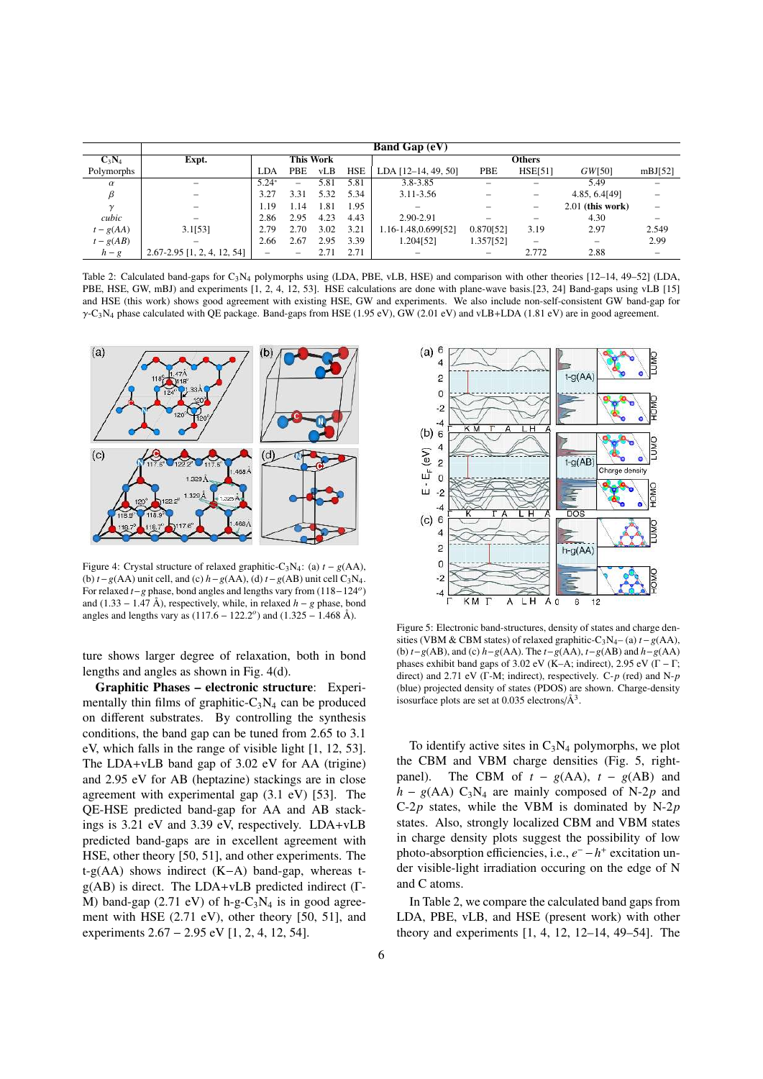|             | <b>Band Gap (eV)</b>            |                  |          |      |            |                       |                          |                          |                    |                          |  |
|-------------|---------------------------------|------------------|----------|------|------------|-----------------------|--------------------------|--------------------------|--------------------|--------------------------|--|
| $C_3N_4$    | Expt.                           | <b>This Work</b> |          |      |            | <b>Others</b>         |                          |                          |                    |                          |  |
| Polymorphs  |                                 | <b>LDA</b>       | PBE      | vLB  | <b>HSE</b> | LDA $[12-14, 49, 50]$ | PBE                      | <b>HSE[51]</b>           | GW[50]             | mBJ[52]                  |  |
| $\alpha$    |                                 | $5.24*$          | $\equiv$ | 5.81 | 5.81       | 3.8-3.85              |                          | $\overline{\phantom{0}}$ | 5.49               |                          |  |
|             |                                 | 3.27             | 3.31     | 5.32 | 5.34       | 3.11-3.56             |                          | $\equiv$                 | 4.85, 6.4[49]      |                          |  |
| $\gamma$    |                                 | 1.19             | 1.14     | 1.81 | 1.95       |                       |                          | $\overline{\phantom{m}}$ | $2.01$ (this work) |                          |  |
| cubic       | $\overline{\phantom{0}}$        | 2.86             | 2.95     | 4.23 | 4.43       | 2.90-2.91             | $\qquad \qquad =$        | $\qquad \qquad =$        | 4.30               | $\equiv$                 |  |
| $t - g(AA)$ | 3.1[53]                         | 2.79             | 2.70     | 3.02 | 3.21       | 1.16-1.48,0.699[52]   | 0.870[52]                | 3.19                     | 2.97               | 2.549                    |  |
| $t - g(AB)$ | $\overline{\phantom{0}}$        | 2.66             | 2.67     | 2.95 | 3.39       | 1.204[52]             | 1.357[52]                | $\qquad \qquad =$        | -                  | 2.99                     |  |
| $h-g$       | $2.67 - 2.95$ [1, 2, 4, 12, 54] | -                | -        | 2.71 | 2.71       |                       | $\overline{\phantom{m}}$ | 2.772                    | 2.88               | $\overline{\phantom{0}}$ |  |

Table 2: Calculated band-gaps for C3N<sup>4</sup> polymorphs using (LDA, PBE, vLB, HSE) and comparison with other theories [12–14, 49–52] (LDA, PBE, HSE, GW, mBJ) and experiments [1, 2, 4, 12, 53]. HSE calculations are done with plane-wave basis.[23, 24] Band-gaps using vLB [15] and HSE (this work) shows good agreement with existing HSE, GW and experiments. We also include non-self-consistent GW band-gap for  $\gamma$ -C<sub>3</sub>N<sub>4</sub> phase calculated with QE package. Band-gaps from HSE (1.95 eV), GW (2.01 eV) and vLB+LDA (1.81 eV) are in good agreement.



Figure 4: Crystal structure of relaxed graphitic-C<sub>3</sub>N<sub>4</sub>: (a)  $t - g(AA)$ , (b)  $t-g(AA)$  unit cell, and (c)  $h-g(AA)$ , (d)  $t-g(AB)$  unit cell C<sub>3</sub>N<sub>4</sub>. For relaxed *t*−*g* phase, bond angles and lengths vary from (118−124*<sup>o</sup>* ) and (1.33 – 1.47 Å), respectively, while, in relaxed  $h - g$  phase, bond angles and lengths vary as (117.6 − 122.2 *o* ) and (1.325 − 1.468 Å).

ture shows larger degree of relaxation, both in bond lengths and angles as shown in Fig. 4(d).

Graphitic Phases – electronic structure: Experimentally thin films of graphitic- $C_3N_4$  can be produced on different substrates. By controlling the synthesis conditions, the band gap can be tuned from 2.65 to 3.1 eV, which falls in the range of visible light [1, 12, 53]. The LDA+vLB band gap of 3.02 eV for AA (trigine) and 2.95 eV for AB (heptazine) stackings are in close agreement with experimental gap (3.1 eV) [53]. The QE-HSE predicted band-gap for AA and AB stackings is 3.21 eV and 3.39 eV, respectively. LDA+vLB predicted band-gaps are in excellent agreement with HSE, other theory [50, 51], and other experiments. The t-g(AA) shows indirect (K−A) band-gap, whereas tg(AB) is direct. The LDA+vLB predicted indirect (Γ-M) band-gap (2.71 eV) of h-g- $C_3N_4$  is in good agreement with HSE (2.71 eV), other theory [50, 51], and experiments 2.67 − 2.95 eV [1, 2, 4, 12, 54].



Figure 5: Electronic band-structures, density of states and charge densities (VBM & CBM states) of relaxed graphitic-C3N4– (a) *t*−*g*(AA), (b) *t*−*g*(AB), and (c) *h*−*g*(AA). The *t*−*g*(AA), *t*−*g*(AB) and *h*−*g*(AA) phases exhibit band gaps of 3.02 eV (K–A; indirect), 2.95 eV ( $\Gamma$  –  $\Gamma$ ; direct) and 2.71 eV (Γ-M; indirect), respectively. C-*p* (red) and N-*p* (blue) projected density of states (PDOS) are shown. Charge-density isosurface plots are set at 0.035 electrons/ $\AA^3$ .

To identify active sites in  $C_3N_4$  polymorphs, we plot the CBM and VBM charge densities (Fig. 5, rightpanel). The CBM of  $t - g(AA)$ ,  $t - g(AB)$  and  $h - g(AA) C_3N_4$  are mainly composed of N-2*p* and C-2*p* states, while the VBM is dominated by N-2*p* states. Also, strongly localized CBM and VBM states in charge density plots suggest the possibility of low photo-absorption efficiencies, i.e.,  $e^- - h^+$  excitation under visible-light irradiation occuring on the edge of N and C atoms.

In Table 2, we compare the calculated band gaps from LDA, PBE, vLB, and HSE (present work) with other theory and experiments [1, 4, 12, 12–14, 49–54]. The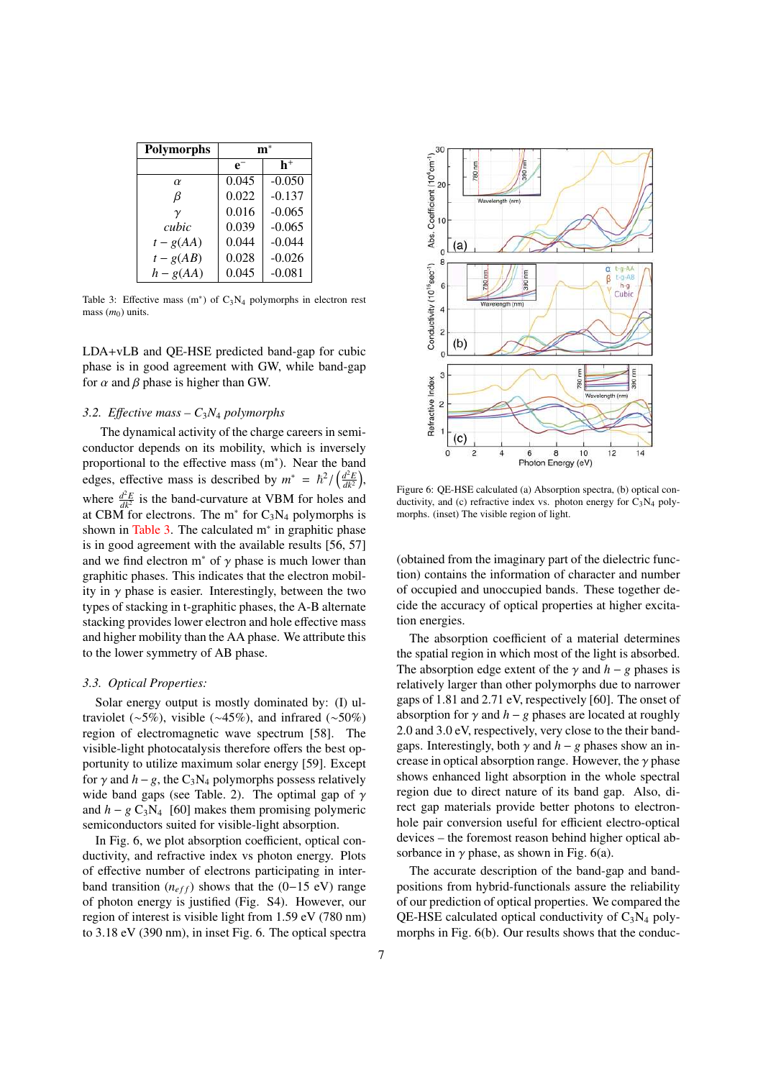| <b>Polymorphs</b> |       |          |  |  |  |
|-------------------|-------|----------|--|--|--|
|                   | $e^-$ | h+       |  |  |  |
| $\alpha$          | 0.045 | $-0.050$ |  |  |  |
| β                 | 0.022 | $-0.137$ |  |  |  |
| $\gamma$          | 0.016 | $-0.065$ |  |  |  |
| cubic             | 0.039 | $-0.065$ |  |  |  |
| $t - g(A)$        | 0.044 | $-0.044$ |  |  |  |
| $t - g(AB)$       | 0.028 | $-0.026$ |  |  |  |
| $h - g(AA)$       | 0.045 | $-0.081$ |  |  |  |

Table 3: Effective mass  $(m^*)$  of  $C_3N_4$  polymorphs in electron rest mass ( $m<sub>0</sub>$ ) units.

LDA+vLB and QE-HSE predicted band-gap for cubic phase is in good agreement with GW, while band-gap for  $\alpha$  and  $\beta$  phase is higher than GW.

# *3.2. E*ff*ective mass – C*3*N*<sup>4</sup> *polymorphs*

The dynamical activity of the charge careers in semiconductor depends on its mobility, which is inversely proportional to the effective mass (m<sup>∗</sup> ). Near the band edges, effective mass is described by  $m^* = \frac{\hbar^2}{\left(\frac{d^2E}{dk^2}\right)}$ , where  $\frac{d^2E}{dk^2}$  is the band-curvature at VBM for holes and at CBM for electrons. The  $m^*$  for  $C_3N_4$  polymorphs is shown in Table 3. The calculated m<sup>∗</sup> in graphitic phase is in good agreement with the available results [56, 57] and we find electron  $m^*$  of  $\gamma$  phase is much lower than graphitic phases. This indicates that the electron mobility in  $\gamma$  phase is easier. Interestingly, between the two types of stacking in t-graphitic phases, the A-B alternate stacking provides lower electron and hole effective mass and higher mobility than the AA phase. We attribute this to the lower symmetry of AB phase.

#### *3.3. Optical Properties:*

Solar energy output is mostly dominated by: (I) ultraviolet (∼5%), visible (∼45%), and infrared (∼50%) region of electromagnetic wave spectrum [58]. The visible-light photocatalysis therefore offers the best opportunity to utilize maximum solar energy [59]. Except for  $\gamma$  and  $h - g$ , the C<sub>3</sub>N<sub>4</sub> polymorphs possess relatively wide band gaps (see Table. 2). The optimal gap of  $\gamma$ and  $h - g C_3N_4$  [60] makes them promising polymeric semiconductors suited for visible-light absorption.

In Fig. 6, we plot absorption coefficient, optical conductivity, and refractive index vs photon energy. Plots of effective number of electrons participating in interband transition ( $n_{eff}$ ) shows that the (0–15 eV) range of photon energy is justified (Fig. S4). However, our region of interest is visible light from 1.59 eV (780 nm) to 3.18 eV (390 nm), in inset Fig. 6. The optical spectra



Figure 6: QE-HSE calculated (a) Absorption spectra, (b) optical conductivity, and (c) refractive index vs. photon energy for  $C_3N_4$  polymorphs. (inset) The visible region of light.

(obtained from the imaginary part of the dielectric function) contains the information of character and number of occupied and unoccupied bands. These together decide the accuracy of optical properties at higher excitation energies.

The absorption coefficient of a material determines the spatial region in which most of the light is absorbed. The absorption edge extent of the  $\gamma$  and  $h - g$  phases is relatively larger than other polymorphs due to narrower gaps of 1.81 and 2.71 eV, respectively [60]. The onset of absorption for  $\gamma$  and  $h - g$  phases are located at roughly 2.0 and 3.0 eV, respectively, very close to the their bandgaps. Interestingly, both  $\gamma$  and  $h - g$  phases show an increase in optical absorption range. However, the  $\gamma$  phase shows enhanced light absorption in the whole spectral region due to direct nature of its band gap. Also, direct gap materials provide better photons to electronhole pair conversion useful for efficient electro-optical devices – the foremost reason behind higher optical absorbance in  $\gamma$  phase, as shown in Fig. 6(a).

The accurate description of the band-gap and bandpositions from hybrid-functionals assure the reliability of our prediction of optical properties. We compared the QE-HSE calculated optical conductivity of  $C_3N_4$  polymorphs in Fig. 6(b). Our results shows that the conduc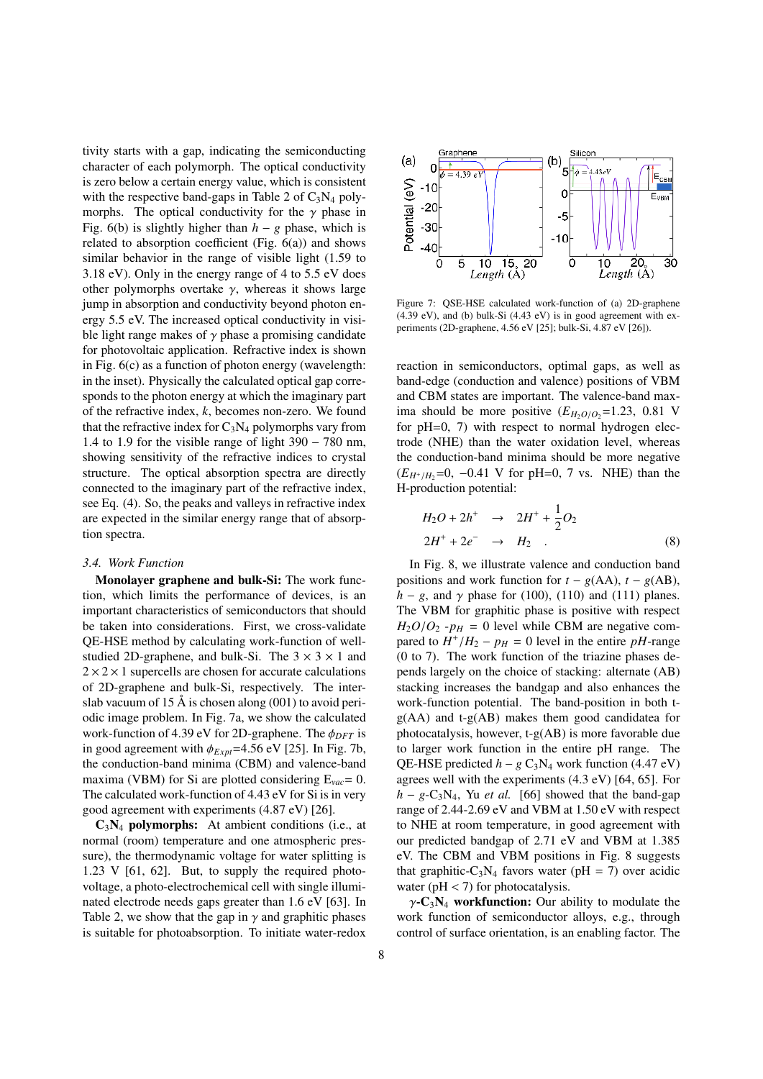tivity starts with a gap, indicating the semiconducting character of each polymorph. The optical conductivity is zero below a certain energy value, which is consistent with the respective band-gaps in Table 2 of  $C_3N_4$  polymorphs. The optical conductivity for the  $\gamma$  phase in Fig. 6(b) is slightly higher than  $h - g$  phase, which is related to absorption coefficient (Fig. 6(a)) and shows similar behavior in the range of visible light (1.59 to 3.18 eV). Only in the energy range of 4 to 5.5 eV does other polymorphs overtake  $\gamma$ , whereas it shows large jump in absorption and conductivity beyond photon energy 5.5 eV. The increased optical conductivity in visible light range makes of  $\gamma$  phase a promising candidate for photovoltaic application. Refractive index is shown in Fig. 6(c) as a function of photon energy (wavelength: in the inset). Physically the calculated optical gap corresponds to the photon energy at which the imaginary part of the refractive index, *k*, becomes non-zero. We found that the refractive index for  $C_3N_4$  polymorphs vary from 1.4 to 1.9 for the visible range of light 390 − 780 nm, showing sensitivity of the refractive indices to crystal structure. The optical absorption spectra are directly connected to the imaginary part of the refractive index, see Eq. (4). So, the peaks and valleys in refractive index are expected in the similar energy range that of absorption spectra.

#### *3.4. Work Function*

Monolayer graphene and bulk-Si: The work function, which limits the performance of devices, is an important characteristics of semiconductors that should be taken into considerations. First, we cross-validate QE-HSE method by calculating work-function of wellstudied 2D-graphene, and bulk-Si. The  $3 \times 3 \times 1$  and  $2 \times 2 \times 1$  supercells are chosen for accurate calculations of 2D-graphene and bulk-Si, respectively. The interslab vacuum of 15 Å is chosen along  $(001)$  to avoid periodic image problem. In Fig. 7a, we show the calculated work-function of 4.39 eV for 2D-graphene. The  $\phi_{DFT}$  is in good agreement with  $\phi_{Expt}$ =4.56 eV [25]. In Fig. 7b, the conduction-band minima (CBM) and valence-band maxima (VBM) for Si are plotted considering E*vac*= 0. The calculated work-function of 4.43 eV for Si is in very good agreement with experiments (4.87 eV) [26].

 $C_3N_4$  polymorphs: At ambient conditions (i.e., at normal (room) temperature and one atmospheric pressure), the thermodynamic voltage for water splitting is 1.23 V [61, 62]. But, to supply the required photovoltage, a photo-electrochemical cell with single illuminated electrode needs gaps greater than 1.6 eV [63]. In Table 2, we show that the gap in  $\gamma$  and graphitic phases is suitable for photoabsorption. To initiate water-redox



Figure 7: QSE-HSE calculated work-function of (a) 2D-graphene (4.39 eV), and (b) bulk-Si (4.43 eV) is in good agreement with experiments (2D-graphene, 4.56 eV [25]; bulk-Si, 4.87 eV [26]).

reaction in semiconductors, optimal gaps, as well as band-edge (conduction and valence) positions of VBM and CBM states are important. The valence-band maxima should be more positive  $(E_{H_2O/O_2}=1.23, 0.81$  V for pH=0, 7) with respect to normal hydrogen electrode (NHE) than the water oxidation level, whereas the conduction-band minima should be more negative  $(E_{H^+/H_2}=0, -0.41$  V for pH=0, 7 vs. NHE) than the H-production potential:

$$
H_2O + 2h^+ \rightarrow 2H^+ + \frac{1}{2}O_2
$$
  
\n
$$
2H^+ + 2e^- \rightarrow H_2 .
$$
 (8)

In Fig. 8, we illustrate valence and conduction band positions and work function for  $t - g(AA)$ ,  $t - g(AB)$ ,  $h - g$ , and  $\gamma$  phase for (100), (110) and (111) planes. The VBM for graphitic phase is positive with respect  $H_2O/O_2$  - $p_H = 0$  level while CBM are negative compared to  $H^+/H_2 - p_H = 0$  level in the entire *pH*-range (0 to 7). The work function of the triazine phases depends largely on the choice of stacking: alternate (AB) stacking increases the bandgap and also enhances the work-function potential. The band-position in both tg(AA) and t-g(AB) makes them good candidatea for photocatalysis, however, t-g(AB) is more favorable due to larger work function in the entire pH range. The QE-HSE predicted  $h - g C_3N_4$  work function (4.47 eV) agrees well with the experiments (4.3 eV) [64, 65]. For  $h - g - C_3N_4$ , Yu *et al.* [66] showed that the band-gap range of 2.44-2.69 eV and VBM at 1.50 eV with respect to NHE at room temperature, in good agreement with our predicted bandgap of 2.71 eV and VBM at 1.385 eV. The CBM and VBM positions in Fig. 8 suggests that graphitic-C<sub>3</sub>N<sub>4</sub> favors water (pH = 7) over acidic water ( $pH < 7$ ) for photocatalysis.

 $\gamma$ -C<sub>3</sub>N<sub>4</sub> workfunction: Our ability to modulate the work function of semiconductor alloys, e.g., through control of surface orientation, is an enabling factor. The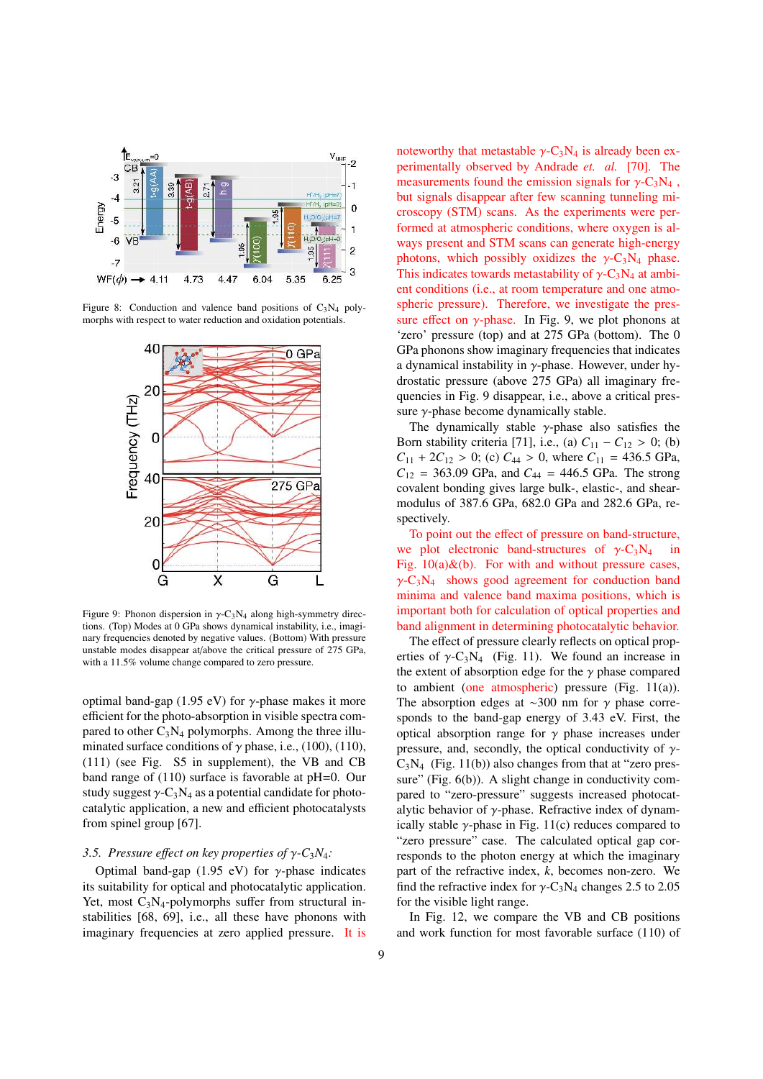

Figure 8: Conduction and valence band positions of  $C_3N_4$  polymorphs with respect to water reduction and oxidation potentials.



Figure 9: Phonon dispersion in  $\gamma$ -C<sub>3</sub>N<sub>4</sub> along high-symmetry directions. (Top) Modes at 0 GPa shows dynamical instability, i.e., imaginary frequencies denoted by negative values. (Bottom) With pressure unstable modes disappear at/above the critical pressure of 275 GPa, with a 11.5% volume change compared to zero pressure.

optimal band-gap (1.95 eV) for  $\gamma$ -phase makes it more efficient for the photo-absorption in visible spectra compared to other  $C_3N_4$  polymorphs. Among the three illuminated surface conditions of  $\gamma$  phase, i.e., (100), (110), (111) (see Fig. S5 in supplement), the VB and CB band range of (110) surface is favorable at pH=0. Our study suggest  $\gamma$ -C<sub>3</sub>N<sub>4</sub> as a potential candidate for photocatalytic application, a new and efficient photocatalysts from spinel group [67].

## *3.5. Pressure e*ff*ect on key properties of* γ*-C*3*N*4*:*

Optimal band-gap (1.95 eV) for  $\gamma$ -phase indicates its suitability for optical and photocatalytic application. Yet, most  $C_3N_4$ -polymorphs suffer from structural instabilities [68, 69], i.e., all these have phonons with imaginary frequencies at zero applied pressure. It is noteworthy that metastable  $\gamma$ -C<sub>3</sub>N<sub>4</sub> is already been experimentally observed by Andrade *et. al.* [70]. The measurements found the emission signals for  $\gamma$ -C<sub>3</sub>N<sub>4</sub>, but signals disappear after few scanning tunneling microscopy (STM) scans. As the experiments were performed at atmospheric conditions, where oxygen is always present and STM scans can generate high-energy photons, which possibly oxidizes the  $\gamma$ -C<sub>3</sub>N<sub>4</sub> phase. This indicates towards metastability of  $\gamma$ -C<sub>3</sub>N<sub>4</sub> at ambient conditions (i.e., at room temperature and one atmospheric pressure). Therefore, we investigate the pressure effect on  $\gamma$ -phase. In Fig. 9, we plot phonons at 'zero' pressure (top) and at 275 GPa (bottom). The 0 GPa phonons show imaginary frequencies that indicates a dynamical instability in  $\gamma$ -phase. However, under hydrostatic pressure (above 275 GPa) all imaginary frequencies in Fig. 9 disappear, i.e., above a critical pressure  $\gamma$ -phase become dynamically stable.

The dynamically stable  $\gamma$ -phase also satisfies the Born stability criteria [71], i.e., (a)  $C_{11} - C_{12} > 0$ ; (b)  $C_{11} + 2C_{12} > 0$ ; (c)  $C_{44} > 0$ , where  $C_{11} = 436.5$  GPa,  $C_{12}$  = 363.09 GPa, and  $C_{44}$  = 446.5 GPa. The strong covalent bonding gives large bulk-, elastic-, and shearmodulus of 387.6 GPa, 682.0 GPa and 282.6 GPa, respectively.

To point out the effect of pressure on band-structure, we plot electronic band-structures of  $\gamma$ -C<sub>3</sub>N<sub>4</sub> Fig.  $10(a) \& (b)$ . For with and without pressure cases,  $\gamma$ -C<sub>3</sub>N<sub>4</sub> shows good agreement for conduction band minima and valence band maxima positions, which is important both for calculation of optical properties and band alignment in determining photocatalytic behavior.

The effect of pressure clearly reflects on optical properties of  $\gamma$ -C<sub>3</sub>N<sub>4</sub> (Fig. 11). We found an increase in the extent of absorption edge for the  $\gamma$  phase compared to ambient (one atmospheric) pressure (Fig. 11(a)). The absorption edges at ~300 nm for  $\gamma$  phase corresponds to the band-gap energy of 3.43 eV. First, the optical absorption range for  $\gamma$  phase increases under pressure, and, secondly, the optical conductivity of  $\gamma$ - $C_3N_4$  (Fig. 11(b)) also changes from that at "zero pressure" (Fig. 6(b)). A slight change in conductivity compared to "zero-pressure" suggests increased photocatalytic behavior of  $\gamma$ -phase. Refractive index of dynamically stable  $\gamma$ -phase in Fig. 11(c) reduces compared to "zero pressure" case. The calculated optical gap corresponds to the photon energy at which the imaginary part of the refractive index, *k*, becomes non-zero. We find the refractive index for  $\gamma$ -C<sub>3</sub>N<sub>4</sub> changes 2.5 to 2.05 for the visible light range.

In Fig. 12, we compare the VB and CB positions and work function for most favorable surface (110) of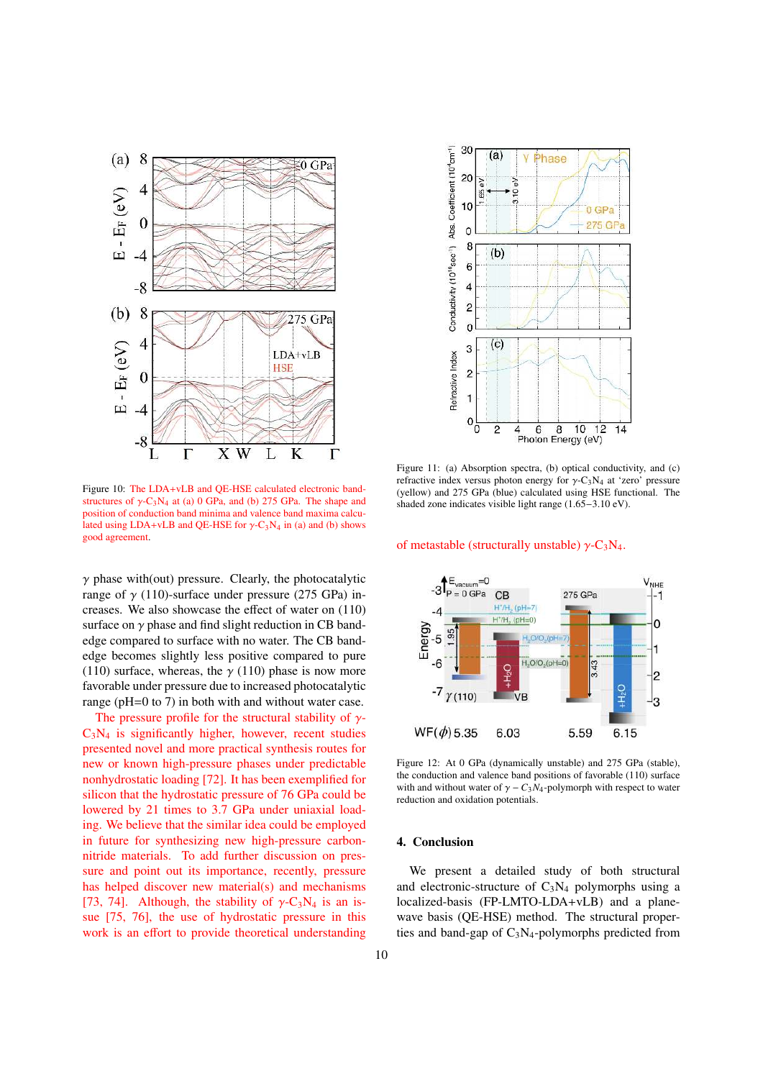

Figure 10: The LDA+vLB and QE-HSE calculated electronic bandstructures of  $\gamma$ -C<sub>3</sub>N<sub>4</sub> at (a) 0 GPa, and (b) 275 GPa. The shape and position of conduction band minima and valence band maxima calculated using LDA+vLB and QE-HSE for  $\gamma$ -C<sub>3</sub>N<sub>4</sub> in (a) and (b) shows good agreement.

 $\gamma$  phase with(out) pressure. Clearly, the photocatalytic range of  $\gamma$  (110)-surface under pressure (275 GPa) increases. We also showcase the effect of water on (110) surface on  $\gamma$  phase and find slight reduction in CB bandedge compared to surface with no water. The CB bandedge becomes slightly less positive compared to pure (110) surface, whereas, the  $\gamma$  (110) phase is now more favorable under pressure due to increased photocatalytic range (pH=0 to 7) in both with and without water case.

The pressure profile for the structural stability of  $\gamma$ - $C_3N_4$  is significantly higher, however, recent studies presented novel and more practical synthesis routes for new or known high-pressure phases under predictable nonhydrostatic loading [72]. It has been exemplified for silicon that the hydrostatic pressure of 76 GPa could be lowered by 21 times to 3.7 GPa under uniaxial loading. We believe that the similar idea could be employed in future for synthesizing new high-pressure carbonnitride materials. To add further discussion on pressure and point out its importance, recently, pressure has helped discover new material(s) and mechanisms [73, 74]. Although, the stability of  $\gamma$ -C<sub>3</sub>N<sub>4</sub> is an issue [75, 76], the use of hydrostatic pressure in this work is an effort to provide theoretical understanding



Figure 11: (a) Absorption spectra, (b) optical conductivity, and (c) refractive index versus photon energy for  $\gamma$ -C<sub>3</sub>N<sub>4</sub> at 'zero' pressure (yellow) and 275 GPa (blue) calculated using HSE functional. The shaded zone indicates visible light range (1.65−3.10 eV).

## of metastable (structurally unstable)  $\gamma$ -C<sub>3</sub>N<sub>4</sub>.



Figure 12: At 0 GPa (dynamically unstable) and 275 GPa (stable), the conduction and valence band positions of favorable (110) surface with and without water of  $\gamma - C_3N_4$ -polymorph with respect to water reduction and oxidation potentials.

## 4. Conclusion

We present a detailed study of both structural and electronic-structure of  $C_3N_4$  polymorphs using a localized-basis (FP-LMTO-LDA+vLB) and a planewave basis (QE-HSE) method. The structural properties and band-gap of  $C_3N_4$ -polymorphs predicted from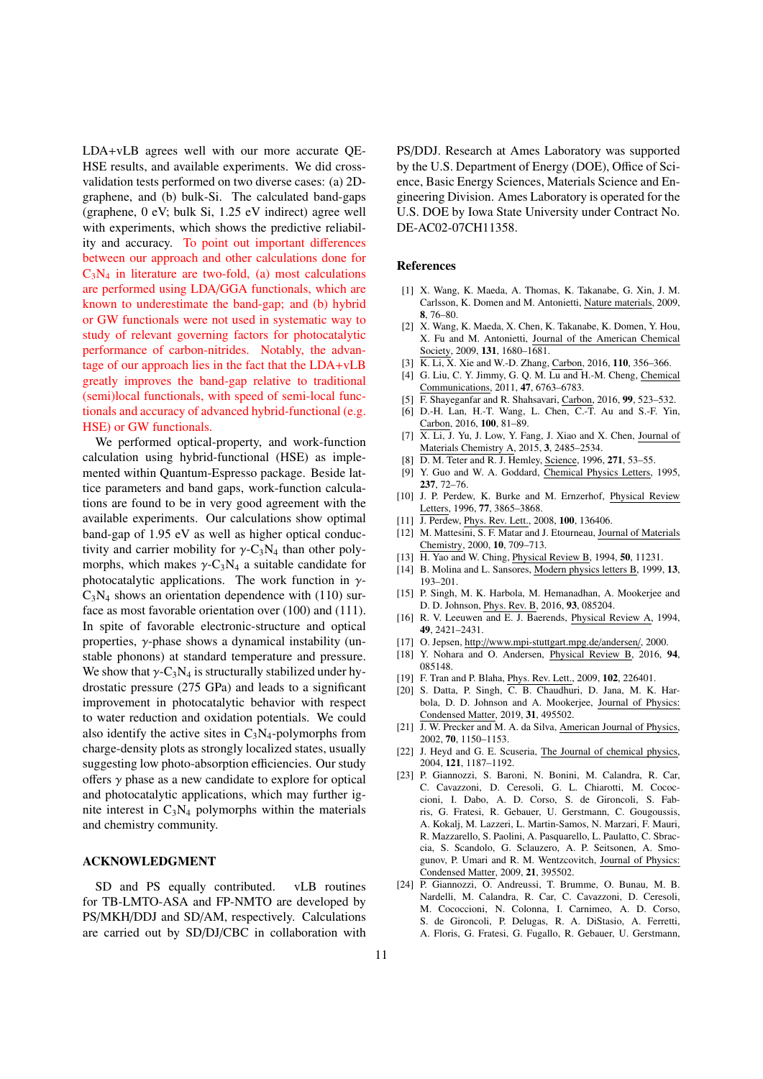LDA+vLB agrees well with our more accurate QE-HSE results, and available experiments. We did crossvalidation tests performed on two diverse cases: (a) 2Dgraphene, and (b) bulk-Si. The calculated band-gaps (graphene, 0 eV; bulk Si, 1.25 eV indirect) agree well with experiments, which shows the predictive reliability and accuracy. To point out important differences between our approach and other calculations done for  $C_3N_4$  in literature are two-fold, (a) most calculations are performed using LDA/GGA functionals, which are known to underestimate the band-gap; and (b) hybrid or GW functionals were not used in systematic way to study of relevant governing factors for photocatalytic performance of carbon-nitrides. Notably, the advantage of our approach lies in the fact that the LDA+vLB greatly improves the band-gap relative to traditional (semi)local functionals, with speed of semi-local functionals and accuracy of advanced hybrid-functional (e.g. HSE) or GW functionals.

We performed optical-property, and work-function calculation using hybrid-functional (HSE) as implemented within Quantum-Espresso package. Beside lattice parameters and band gaps, work-function calculations are found to be in very good agreement with the available experiments. Our calculations show optimal band-gap of 1.95 eV as well as higher optical conductivity and carrier mobility for  $\gamma$ -C<sub>3</sub>N<sub>4</sub> than other polymorphs, which makes  $\gamma$ -C<sub>3</sub>N<sub>4</sub> a suitable candidate for photocatalytic applications. The work function in  $\gamma$ - $C_3N_4$  shows an orientation dependence with (110) surface as most favorable orientation over (100) and (111). In spite of favorable electronic-structure and optical properties, γ-phase shows a dynamical instability (unstable phonons) at standard temperature and pressure. We show that  $\gamma$ -C<sub>3</sub>N<sub>4</sub> is structurally stabilized under hydrostatic pressure (275 GPa) and leads to a significant improvement in photocatalytic behavior with respect to water reduction and oxidation potentials. We could also identify the active sites in  $C_3N_4$ -polymorphs from charge-density plots as strongly localized states, usually suggesting low photo-absorption efficiencies. Our study offers  $\gamma$  phase as a new candidate to explore for optical and photocatalytic applications, which may further ignite interest in  $C_3N_4$  polymorphs within the materials and chemistry community.

## ACKNOWLEDGMENT

SD and PS equally contributed. vLB routines for TB-LMTO-ASA and FP-NMTO are developed by PS/MKH/DDJ and SD/AM, respectively. Calculations are carried out by SD/DJ/CBC in collaboration with

PS/DDJ. Research at Ames Laboratory was supported by the U.S. Department of Energy (DOE), Office of Science, Basic Energy Sciences, Materials Science and Engineering Division. Ames Laboratory is operated for the U.S. DOE by Iowa State University under Contract No. DE-AC02-07CH11358.

### References

- [1] X. Wang, K. Maeda, A. Thomas, K. Takanabe, G. Xin, J. M. Carlsson, K. Domen and M. Antonietti, Nature materials, 2009, 8, 76–80.
- [2] X. Wang, K. Maeda, X. Chen, K. Takanabe, K. Domen, Y. Hou, X. Fu and M. Antonietti, Journal of the American Chemical Society, 2009, 131, 1680–1681.
- [3] K. Li, X. Xie and W.-D. Zhang, Carbon, 2016, 110, 356–366.
- [4] G. Liu, C. Y. Jimmy, G. Q. M. Lu and H.-M. Cheng, Chemical Communications, 2011, 47, 6763–6783.
- [5] F. Shayeganfar and R. Shahsavari, Carbon, 2016, 99, 523–532.
- [6] D.-H. Lan, H.-T. Wang, L. Chen, C.-T. Au and S.-F. Yin, Carbon, 2016, 100, 81–89.
- [7]  $\overline{X}$ . Li, J. Yu, J. Low, Y. Fang, J. Xiao and X. Chen, Journal of Materials Chemistry A, 2015, 3, 2485–2534.
- [8] D. M. Teter and R. J. Hemley, Science, 1996, 271, 53–55.
- [9] Y. Guo and W. A. Goddard, Chemical Physics Letters, 1995, 237, 72–76.
- [10] J. P. Perdew, K. Burke and M. Ernzerhof, Physical Review Letters, 1996, 77, 3865-3868.
- [11] J. Perdew, Phys. Rev. Lett., 2008, 100, 136406.
- [12] M. Mattesini, S. F. Matar and J. Etourneau, Journal of Materials Chemistry, 2000, 10, 709–713.
- [13] H. Yao and W. Ching, Physical Review B, 1994, **50**, 11231.
- [14] B. Molina and L. Sansores, Modern physics letters B, 1999, 13, 193–201.
- [15] P. Singh, M. K. Harbola, M. Hemanadhan, A. Mookerjee and D. D. Johnson, Phys. Rev. B, 2016, 93, 085204.
- [16] R. V. Leeuwen and E. J. Baerends, Physical Review A, 1994, 49, 2421–2431.
- [17] O. Jepsen, http://www.mpi-stuttgart.mpg.de/andersen/, 2000.
- [18] Y. Nohara and O. Andersen, Physical Review B, 2016, 94, 085148.
- [19] F. Tran and P. Blaha, *Phys. Rev. Lett.*, 2009, **102**, 226401.
- [20] S. Datta, P. Singh, C. B. Chaudhuri, D. Jana, M. K. Harbola, D. D. Johnson and A. Mookerjee, Journal of Physics: Condensed Matter, 2019, 31, 495502.
- [21] J. W. Precker and M. A. da Silva, American Journal of Physics, 2002, 70, 1150–1153.
- [22] J. Heyd and G. E. Scuseria, The Journal of chemical physics, 2004, 121, 1187–1192.
- [23] P. Giannozzi, S. Baroni, N. Bonini, M. Calandra, R. Car, C. Cavazzoni, D. Ceresoli, G. L. Chiarotti, M. Cococcioni, I. Dabo, A. D. Corso, S. de Gironcoli, S. Fabris, G. Fratesi, R. Gebauer, U. Gerstmann, C. Gougoussis, A. Kokalj, M. Lazzeri, L. Martin-Samos, N. Marzari, F. Mauri, R. Mazzarello, S. Paolini, A. Pasquarello, L. Paulatto, C. Sbraccia, S. Scandolo, G. Sclauzero, A. P. Seitsonen, A. Smogunov, P. Umari and R. M. Wentzcovitch, Journal of Physics: Condensed Matter, 2009, 21, 395502.
- [24] P. Giannozzi, O. Andreussi, T. Brumme, O. Bunau, M. B. Nardelli, M. Calandra, R. Car, C. Cavazzoni, D. Ceresoli, M. Cococcioni, N. Colonna, I. Carnimeo, A. D. Corso, S. de Gironcoli, P. Delugas, R. A. DiStasio, A. Ferretti, A. Floris, G. Fratesi, G. Fugallo, R. Gebauer, U. Gerstmann,